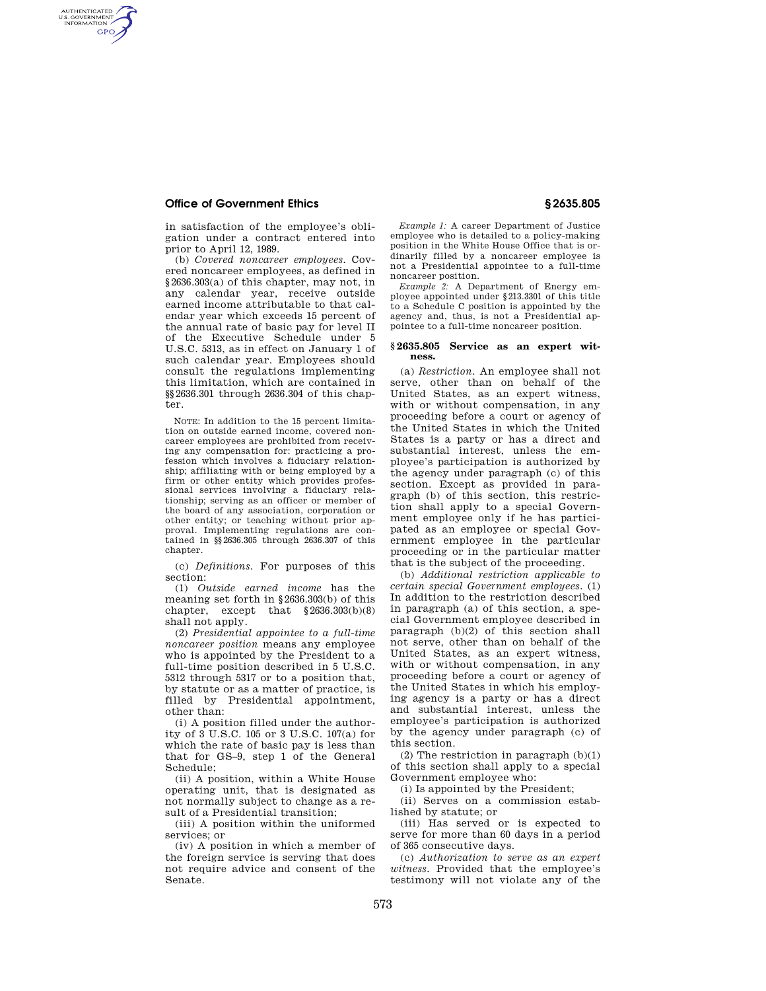## **Office of Government Ethics § 2635.805**

AUTHENTICATED<br>U.S. GOVERNMENT<br>INFORMATION **GPO** 

> in satisfaction of the employee's obligation under a contract entered into prior to April 12, 1989.

> (b) *Covered noncareer employees.* Covered noncareer employees, as defined in §2636.303(a) of this chapter, may not, in any calendar year, receive outside earned income attributable to that calendar year which exceeds 15 percent of the annual rate of basic pay for level II of the Executive Schedule under 5 U.S.C. 5313, as in effect on January 1 of such calendar year. Employees should consult the regulations implementing this limitation, which are contained in §§2636.301 through 2636.304 of this chapter.

> NOTE: In addition to the 15 percent limitation on outside earned income, covered noncareer employees are prohibited from receiving any compensation for: practicing a profession which involves a fiduciary relationship; affiliating with or being employed by a firm or other entity which provides professional services involving a fiduciary relationship; serving as an officer or member of the board of any association, corporation or other entity; or teaching without prior approval. Implementing regulations are contained in §§2636.305 through 2636.307 of this chapter.

> (c) *Definitions.* For purposes of this section:

> (1) *Outside earned income* has the meaning set forth in §2636.303(b) of this chapter, except that  $§2636.303(b)(8)$ shall not apply.

> (2) *Presidential appointee to a full-time noncareer position* means any employee who is appointed by the President to a full-time position described in 5 U.S.C. 5312 through 5317 or to a position that, by statute or as a matter of practice, is filled by Presidential appointment, other than:

> (i) A position filled under the authority of 3 U.S.C. 105 or 3 U.S.C. 107(a) for which the rate of basic pay is less than that for GS–9, step 1 of the General Schedule;

> (ii) A position, within a White House operating unit, that is designated as not normally subject to change as a result of a Presidential transition;

> (iii) A position within the uniformed services; or

> (iv) A position in which a member of the foreign service is serving that does not require advice and consent of the Senate.

*Example 1:* A career Department of Justice employee who is detailed to a policy-making position in the White House Office that is ordinarily filled by a noncareer employee is not a Presidential appointee to a full-time noncareer position.

*Example 2:* A Department of Energy employee appointed under §213.3301 of this title to a Schedule C position is appointed by the agency and, thus, is not a Presidential appointee to a full-time noncareer position.

## **§ 2635.805 Service as an expert witness.**

(a) *Restriction.* An employee shall not serve, other than on behalf of the United States, as an expert witness, with or without compensation, in any proceeding before a court or agency of the United States in which the United States is a party or has a direct and substantial interest, unless the employee's participation is authorized by the agency under paragraph (c) of this section. Except as provided in paragraph (b) of this section, this restriction shall apply to a special Government employee only if he has participated as an employee or special Government employee in the particular proceeding or in the particular matter that is the subject of the proceeding.

(b) *Additional restriction applicable to certain special Government employees.* (1) In addition to the restriction described in paragraph (a) of this section, a special Government employee described in paragraph (b)(2) of this section shall not serve, other than on behalf of the United States, as an expert witness, with or without compensation, in any proceeding before a court or agency of the United States in which his employing agency is a party or has a direct and substantial interest, unless the employee's participation is authorized by the agency under paragraph (c) of this section.

(2) The restriction in paragraph  $(b)(1)$ of this section shall apply to a special Government employee who:

(i) Is appointed by the President;

(ii) Serves on a commission established by statute; or

(iii) Has served or is expected to serve for more than 60 days in a period of 365 consecutive days.

(c) *Authorization to serve as an expert witness.* Provided that the employee's testimony will not violate any of the